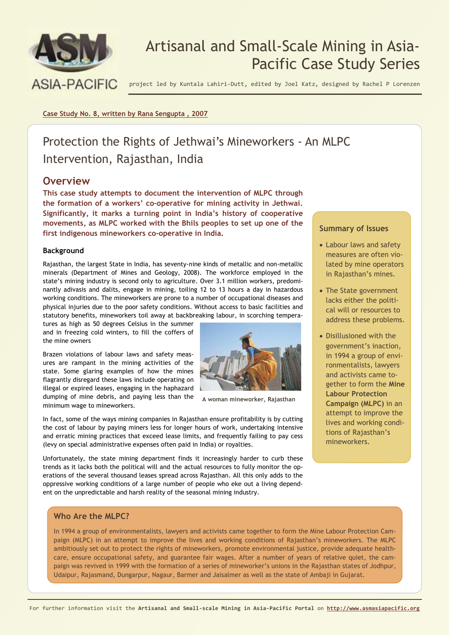

# Artisanal and Small-Scale Mining in Asia-Pacific Case Study Series

project led by Kuntala Lahiri-Dutt, edited by Joel Katz, designed by Rachel P Lorenzen

**Case Study No. 8, written by Rana Sengupta , 2007**

# Protection the Rights of Jethwai's Mineworkers - An MLPC Intervention, Rajasthan, India

### **Overview**

**This case study attempts to document the intervention of MLPC through the formation of a workers' co-operative for mining activity in Jethwai. Significantly, it marks a turning point in India's history of cooperative movements, as MLPC worked with the Bhils peoples to set up one of the first indigenous mineworkers co-operative in India.** 

### **Background**

Rajasthan, the largest State in India, has seventy-nine kinds of metallic and non-metallic minerals (Department of Mines and Geology, 2008). The workforce employed in the state's mining industry is second only to agriculture. Over 3.1 million workers, predominantly adivasis and dalits, engage in mining, toiling 12 to 13 hours a day in hazardous working conditions. The mineworkers are prone to a number of occupational diseases and physical injuries due to the poor safety conditions. Without access to basic facilities and statutory benefits, mineworkers toil away at backbreaking labour, in scorching tempera-

tures as high as 50 degrees Celsius in the summer and in freezing cold winters, to fill the coffers of the mine owners

Brazen violations of labour laws and safety measures are rampant in the mining activities of the state. Some glaring examples of how the mines flagrantly disregard these laws include operating on illegal or expired leases, engaging in the haphazard dumping of mine debris, and paying less than the minimum wage to mineworkers.



Unfortunately, the state mining department finds it increasingly harder to curb these trends as it lacks both the political will and the actual resources to fully monitor the operations of the several thousand leases spread across Rajasthan. All this only adds to the oppressive working conditions of a large number of people who eke out a living dependent on the unpredictable and harsh reality of the seasonal mining industry.

### **Who Are the MLPC?**

In 1994 a group of environmentalists, lawyers and activists came together to form the Mine Labour Protection Campaign (MLPC) in an attempt to improve the lives and working conditions of Rajasthan's mineworkers. The MLPC ambitiously set out to protect the rights of mineworkers, promote environmental justice, provide adequate healthcare, ensure occupational safety, and guarantee fair wages. After a number of years of relative quiet, the campaign was revived in 1999 with the formation of a series of mineworker's unions in the Rajasthan states of Jodhpur, Udaipur, Rajasmand, Dungarpur, Nagaur, Barmer and Jaisalmer as well as the state of Ambaji in Gujarat.

**A woman mineworker, Rajasthan** 

### **Summary of Issues**

- Labour laws and safety measures are often violated by mine operators in Rajasthan's mines.
- The State government lacks either the political will or resources to address these problems.
- Disillusioned with the government's inaction, in 1994 a group of environmentalists, lawyers and activists came together to form the **Mine Labour Protection Campaign (MLPC)** in an attempt to improve the lives and working conditions of Rajasthan's mineworkers.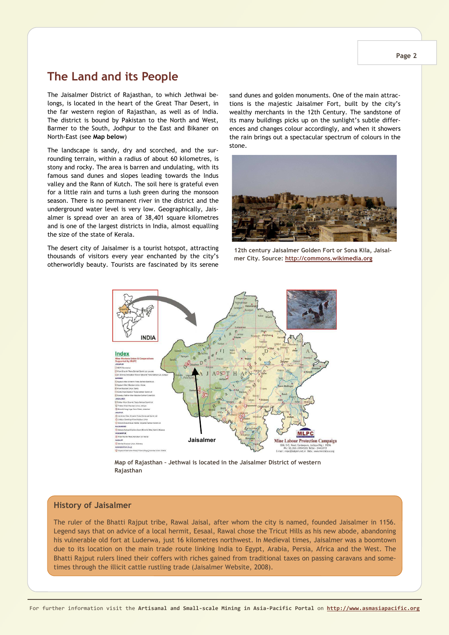# **The Land and its People**

The Jaisalmer District of Rajasthan, to which Jethwai belongs, is located in the heart of the Great Thar Desert, in the far western region of Rajasthan, as well as of India. The district is bound by Pakistan to the North and West, Barmer to the South, Jodhpur to the East and Bikaner on North-East (see **Map below**)

The landscape is sandy, dry and scorched, and the surrounding terrain, within a radius of about 60 kilometres, is stony and rocky. The area is barren and undulating, with its famous sand dunes and slopes leading towards the Indus valley and the Rann of Kutch. The soil here is grateful even for a little rain and turns a lush green during the monsoon season. There is no permanent river in the district and the underground water level is very low. Geographically, Jaisalmer is spread over an area of 38,401 square kilometres and is one of the largest districts in India, almost equalling the size of the state of Kerala.

The desert city of Jaisalmer is a tourist hotspot, attracting thousands of visitors every year enchanted by the city's otherworldly beauty. Tourists are fascinated by its serene

sand dunes and golden monuments. One of the main attractions is the majestic Jaisalmer Fort, built by the city's wealthy merchants in the 12th Century. The sandstone of its many buildings picks up on the sunlight's subtle differences and changes colour accordingly, and when it showers the rain brings out a spectacular spectrum of colours in the stone.



**12th century Jaisalmer Golden Fort or Sona Kila, Jaisalmer City. Source: http://commons.wikimedia.org**



**Map of Rajasthan – Jethwai is located in the Jaisalmer District of western Rajasthan** 

### **History of Jaisalmer**

The ruler of the Bhatti Rajput tribe, Rawal Jaisal, after whom the city is named, founded Jaisalmer in 1156. Legend says that on advice of a local hermit, Eesaal, Rawal chose the Tricut Hills as his new abode, abandoning his vulnerable old fort at Luderwa, just 16 kilometres northwest. In Medieval times, Jaisalmer was a boomtown due to its location on the main trade route linking India to Egypt, Arabia, Persia, Africa and the West. The Bhatti Rajput rulers lined their coffers with riches gained from traditional taxes on passing caravans and sometimes through the illicit cattle rustling trade (Jaisalmer Website, 2008).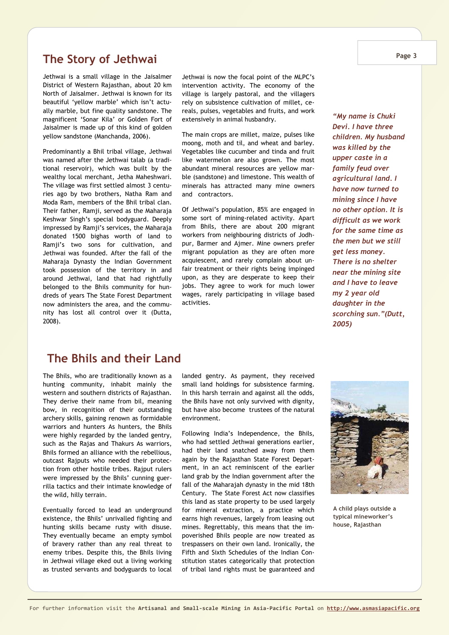# **The Story of Jethwai**

Jethwai is a small village in the Jaisalmer District of Western Rajasthan, about 20 km North of Jaisalmer. Jethwai is known for its beautiful 'yellow marble' which isn't actually marble, but fine quality sandstone. The magnificent 'Sonar Kila' or Golden Fort of Jaisalmer is made up of this kind of golden yellow sandstone (Manchanda, 2006).

Predominantly a Bhil tribal village, Jethwai was named after the Jethwai talab (a traditional reservoir), which was built by the wealthy local merchant, Jetha Maheshwari. The village was first settled almost 3 centuries ago by two brothers, Natha Ram and Moda Ram, members of the Bhil tribal clan. Their father, Ramji, served as the Maharaja Keshwar Singh's special bodyguard. Deeply impressed by Ramji's services, the Maharaja donated 1500 bighas worth of land to Ramji's two sons for cultivation, and Jethwai was founded. After the fall of the Maharaja Dynasty the Indian Government took possession of the territory in and around Jethwai, land that had rightfully belonged to the Bhils community for hundreds of years The State Forest Department now administers the area, and the community has lost all control over it (Dutta, 2008).

Jethwai is now the focal point of the MLPC's intervention activity. The economy of the village is largely pastoral, and the villagers rely on subsistence cultivation of millet, cereals, pulses, vegetables and fruits, and work extensively in animal husbandry.

The main crops are millet, maize, pulses like moong, moth and til, and wheat and barley. Vegetables like cucumber and tinda and fruit like watermelon are also grown. The most abundant mineral resources are yellow marble (sandstone) and limestone. This wealth of minerals has attracted many mine owners and contractors.

Of Jethwai's population, 85% are engaged in some sort of mining-related activity. Apart from Bhils, there are about 200 migrant workers from neighbouring districts of Jodhpur, Barmer and Ajmer. Mine owners prefer migrant population as they are often more acquiescent, and rarely complain about unfair treatment or their rights being impinged upon, as they are desperate to keep their jobs. They agree to work for much lower wages, rarely participating in village based activities.

*"My name is Chuki Devi. I have three children. My husband was killed by the upper caste in a family feud over agricultural land. I have now turned to mining since I have no other option. It is difficult as we work for the same time as the men but we still get less money. There is no shelter near the mining site and I have to leave my 2 year old daughter in the scorching sun."(Dutt, 2005)* 

## **The Bhils and their Land**

The Bhils, who are traditionally known as a hunting community, inhabit mainly the western and southern districts of Rajasthan. They derive their name from bil, meaning bow, in recognition of their outstanding archery skills, gaining renown as formidable warriors and hunters As hunters, the Bhils were highly regarded by the landed gentry, such as the Rajas and Thakurs As warriors, Bhils formed an alliance with the rebellious, outcast Rajputs who needed their protection from other hostile tribes. Rajput rulers were impressed by the Bhils' cunning guerrilla tactics and their intimate knowledge of the wild, hilly terrain.

Eventually forced to lead an underground existence, the Bhils' unrivalled fighting and hunting skills became rusty with disuse. They eventually became an empty symbol of bravery rather than any real threat to enemy tribes. Despite this, the Bhils living in Jethwai village eked out a living working as trusted servants and bodyguards to local

landed gentry. As payment, they received small land holdings for subsistence farming. In this harsh terrain and against all the odds, the Bhils have not only survived with dignity, but have also become trustees of the natural environment.

Following India's Independence, the Bhils, who had settled Jethwai generations earlier, had their land snatched away from them again by the Rajasthan State Forest Department, in an act reminiscent of the earlier land grab by the Indian government after the fall of the Maharajah dynasty in the mid 18th Century. The State Forest Act now classifies this land as state property to be used largely for mineral extraction, a practice which earns high revenues, largely from leasing out mines. Regrettably, this means that the impoverished Bhils people are now treated as trespassers on their own land. Ironically, the Fifth and Sixth Schedules of the Indian Constitution states categorically that protection of tribal land rights must be guaranteed and



**A child plays outside a typical mineworker's house, Rajasthan**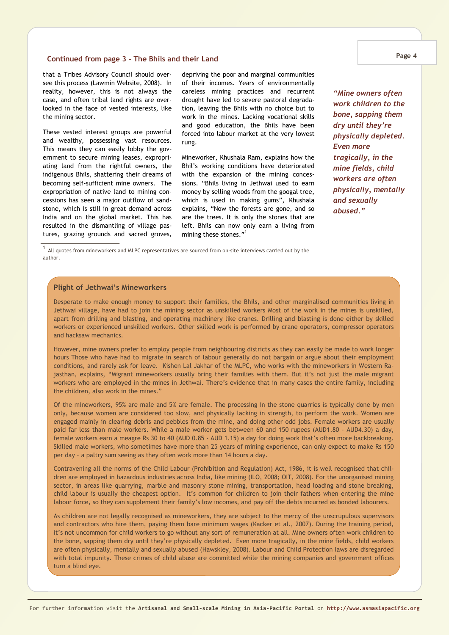#### **Continued from page 3 - The Bhils and their Land**

that a Tribes Advisory Council should oversee this process (Lawmin Website, 2008). In reality, however, this is not always the case, and often tribal land rights are overlooked in the face of vested interests, like the mining sector.

These vested interest groups are powerful and wealthy, possessing vast resources. This means they can easily lobby the government to secure mining leases, expropriating land from the rightful owners, the indigenous Bhils, shattering their dreams of becoming self-sufficient mine owners. The expropriation of native land to mining concessions has seen a major outflow of sandstone, which is still in great demand across India and on the global market. This has resulted in the dismantling of village pastures, grazing grounds and sacred groves, depriving the poor and marginal communities of their incomes. Years of environmentally careless mining practices and recurrent drought have led to severe pastoral degradation, leaving the Bhils with no choice but to work in the mines. Lacking vocational skills and good education, the Bhils have been forced into labour market at the very lowest rung.

Mineworker, Khushala Ram, explains how the Bhil's working conditions have deteriorated with the expansion of the mining concessions. "Bhils living in Jethwai used to earn money by selling woods from the googal tree, which is used in making gums", Khushala explains, "Now the forests are gone, and so are the trees. It is only the stones that are left. Bhils can now only earn a living from mining these stones."<sup>1</sup>

*"Mine owners often work children to the bone, sapping them dry until they're physically depleted. Even more tragically, in the mine fields, child workers are often physically, mentally and sexually abused."* 

<sup>1</sup> All quotes from mineworkers and MLPC representatives are sourced from on-site interviews carried out by the author.

### **Plight of Jethwai's Mineworkers**

Desperate to make enough money to support their families, the Bhils, and other marginalised communities living in Jethwai village, have had to join the mining sector as unskilled workers Most of the work in the mines is unskilled, apart from drilling and blasting, and operating machinery like cranes. Drilling and blasting is done either by skilled workers or experienced unskilled workers. Other skilled work is performed by crane operators, compressor operators and hacksaw mechanics.

However, mine owners prefer to employ people from neighbouring districts as they can easily be made to work longer hours Those who have had to migrate in search of labour generally do not bargain or argue about their employment conditions, and rarely ask for leave. Kishen Lal Jakhar of the MLPC, who works with the mineworkers in Western Rajasthan, explains, "Migrant mineworkers usually bring their families with them. But it's not just the male migrant workers who are employed in the mines in Jethwai. There's evidence that in many cases the entire family, including the children, also work in the mines."

Of the mineworkers, 95% are male and 5% are female. The processing in the stone quarries is typically done by men only, because women are considered too slow, and physically lacking in strength, to perform the work. Women are engaged mainly in clearing debris and pebbles from the mine, and doing other odd jobs. Female workers are usually paid far less than male workers. While a male worker gets between 60 and 150 rupees (AUD1.80 - AUD4.30) a day, female workers earn a meagre Rs 30 to 40 (AUD 0.85 - AUD 1.15) a day for doing work that's often more backbreaking. Skilled male workers, who sometimes have more than 25 years of mining experience, can only expect to make Rs 150 per day – a paltry sum seeing as they often work more than 14 hours a day.

Contravening all the norms of the Child Labour (Prohibition and Regulation) Act, 1986, it is well recognised that children are employed in hazardous industries across India, like mining (ILO, 2008; OIT, 2008). For the unorganised mining sector, in areas like quarrying, marble and masonry stone mining, transportation, head loading and stone breaking, child labour is usually the cheapest option. It's common for children to join their fathers when entering the mine labour force, so they can supplement their family's low incomes, and pay off the debts incurred as bonded labourers.

As children are not legally recognised as mineworkers, they are subject to the mercy of the unscrupulous supervisors and contractors who hire them, paying them bare minimum wages (Kacker et al., 2007). During the training period, it's not uncommon for child workers to go without any sort of remuneration at all. Mine owners often work children to the bone, sapping them dry until they're physically depleted. Even more tragically, in the mine fields, child workers are often physically, mentally and sexually abused (Hawskley, 2008). Labour and Child Protection laws are disregarded with total impunity. These crimes of child abuse are committed while the mining companies and government offices turn a blind eye.

**Page 4**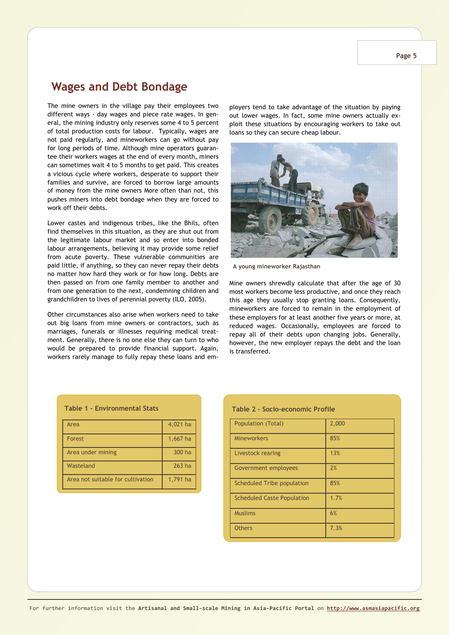### **Wages and Debt Bondage**

The mine owners in the village pay their employees two different ways - day wages and piece rate wages. In general, the mining industry only reserves some 4 to 5 percent of total production costs for labour. Typically, wages are not paid regularly, and mineworkers can go without pay for long periods of time. Although mine operators guarantee their workers wages at the end of every month, miners can sometimes wait 4 to 5 months to get paid. This creates a vicious cycle where workers, desperate to support their families and survive, are forced to borrow large amounts of money from the mine owners More often than not, this pushes miners into debt bondage when they are forced to work off their debts.

Lower castes and indigenous tribes, like the Bhils, often find themselves in this situation, as they are shut out from the legitimate labour market and so enter into bonded labour arrangements, believing it may provide some relief from acute poverty. These vulnerable communities are paid little, if anything, so they can never repay their debts no matter how hard they work or for how long. Debts are then passed on from one family member to another and from one generation to the next, condemning children and grandchildren to lives of perennial poverty (ILO, 2005).

Other circumstances also arise when workers need to take out big loans from mine owners or contractors, such as marriages, funerals or illnesses requiring medical treatment. Generally, there is no one else they can turn to who would be prepared to provide financial support. Again, workers rarely manage to fully repay these loans and employers tend to take advantage of the situation by paying out lower wages. In fact, some mine owners actually exploit these situations by encouraging workers to take out loans so they can secure cheap labour.



**A young mineworker Rajasthan**

Mine owners shrewdly calculate that after the age of 30 most workers become less productive, and once they reach this age they usually stop granting loans. Consequently, mineworkers are forced to remain in the employment of these employers for at least another five years or more, at reduced wages. Occasionally, employees are forced to repay all of their debts upon changing jobs. Generally, however, the new employer repays the debt and the loan is transferred.

| <b>Table 1 - Environmental Stats</b> |          |  |
|--------------------------------------|----------|--|
| Area                                 | 4,021 ha |  |
| Forest                               | 1,667 ha |  |
| Area under mining                    | 300 ha   |  |
| Wasteland                            | $263$ ha |  |
| Area not suitable for cultivation    | 1,791 ha |  |

#### **Table 2 - Socio-economic Profile**

| Population (Total)                | 2,000 |
|-----------------------------------|-------|
| <b>Mineworkers</b>                | 85%   |
| Livestock rearing                 | 13%   |
| Government employees              | 2%    |
| Scheduled Tribe population        | 85%   |
| <b>Scheduled Caste Population</b> | 1.7%  |
| <b>Muslims</b>                    | 6%    |
| <b>Others</b>                     | 7.3%  |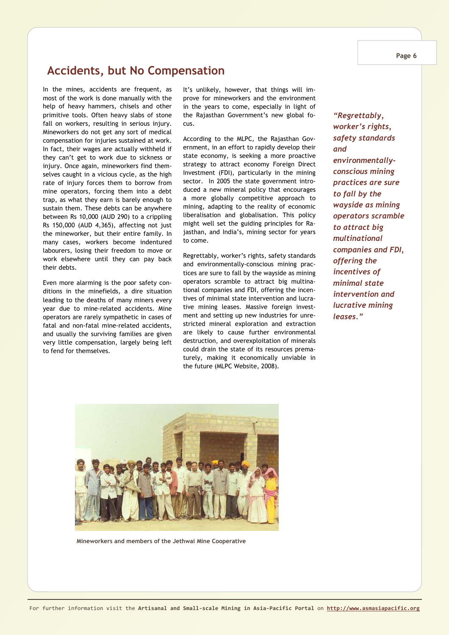## **Accidents, but No Compensation**

In the mines, accidents are frequent, as most of the work is done manually with the help of heavy hammers, chisels and other primitive tools. Often heavy slabs of stone fall on workers, resulting in serious injury. Mineworkers do not get any sort of medical compensation for injuries sustained at work. In fact, their wages are actually withheld if they can't get to work due to sickness or injury. Once again, mineworkers find themselves caught in a vicious cycle, as the high rate of injury forces them to borrow from mine operators, forcing them into a debt trap, as what they earn is barely enough to sustain them. These debts can be anywhere between Rs 10,000 (AUD 290) to a crippling Rs 150,000 (AUD 4,365), affecting not just the mineworker, but their entire family. In many cases, workers become indentured labourers, losing their freedom to move or work elsewhere until they can pay back their debts.

Even more alarming is the poor safety conditions in the minefields, a dire situation leading to the deaths of many miners every year due to mine-related accidents. Mine operators are rarely sympathetic in cases of fatal and non-fatal mine-related accidents, and usually the surviving families are given very little compensation, largely being left to fend for themselves.

It's unlikely, however, that things will improve for mineworkers and the environment in the years to come, especially in light of the Rajasthan Government's new global focus.

According to the MLPC, the Rajasthan Government, in an effort to rapidly develop their state economy, is seeking a more proactive strategy to attract economy Foreign Direct Investment (FDI), particularly in the mining sector. In 2005 the state government introduced a new mineral policy that encourages a more globally competitive approach to mining, adapting to the reality of economic liberalisation and globalisation. This policy might well set the guiding principles for Rajasthan, and India's, mining sector for years to come.

Regrettably, worker's rights, safety standards and environmentally-conscious mining practices are sure to fall by the wayside as mining operators scramble to attract big multinational companies and FDI, offering the incentives of minimal state intervention and lucrative mining leases. Massive foreign investment and setting up new industries for unrestricted mineral exploration and extraction are likely to cause further environmental destruction, and overexploitation of minerals could drain the state of its resources prematurely, making it economically unviable in the future (MLPC Website, 2008).

*"Regrettably, worker's rights, safety standards and environmentallyconscious mining practices are sure to fall by the wayside as mining operators scramble to attract big multinational companies and FDI, offering the incentives of minimal state intervention and lucrative mining leases."* 



**Mineworkers and members of the Jethwai Mine Cooperative**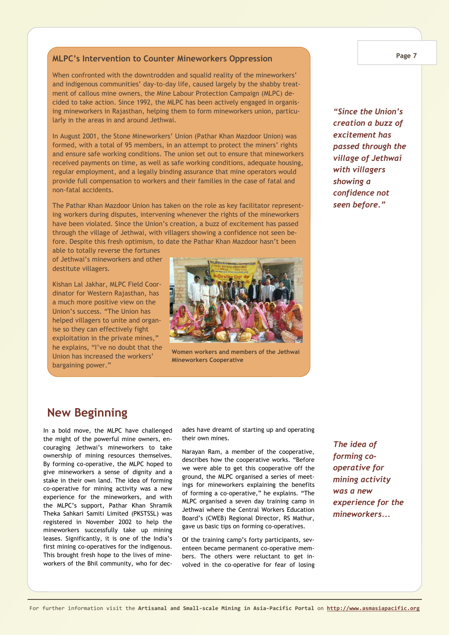### **MLPC's Intervention to Counter Mineworkers Oppression**

When confronted with the downtrodden and squalid reality of the mineworkers' and indigenous communities' day-to-day life, caused largely by the shabby treatment of callous mine owners, the Mine Labour Protection Campaign (MLPC) decided to take action. Since 1992, the MLPC has been actively engaged in organising mineworkers in Rajasthan, helping them to form mineworkers union, particularly in the areas in and around Jethwai.

In August 2001, the Stone Mineworkers' Union (Pathar Khan Mazdoor Union) was formed, with a total of 95 members, in an attempt to protect the miners' rights and ensure safe working conditions. The union set out to ensure that mineworkers received payments on time, as well as safe working conditions, adequate housing, regular employment, and a legally binding assurance that mine operators would provide full compensation to workers and their families in the case of fatal and non-fatal accidents.

The Pathar Khan Mazdoor Union has taken on the role as key facilitator representing workers during disputes, intervening whenever the rights of the mineworkers have been violated. Since the Union's creation, a buzz of excitement has passed through the village of Jethwai, with villagers showing a confidence not seen before. Despite this fresh optimism, to date the Pathar Khan Mazdoor hasn't been

able to totally reverse the fortunes of Jethwai's mineworkers and other destitute villagers.

Kishan Lal Jakhar, MLPC Field Coordinator for Western Rajasthan, has a much more positive view on the Union's success. "The Union has helped villagers to unite and organise so they can effectively fight exploitation in the private mines," he explains, "I've no doubt that the Union has increased the workers' bargaining power."



**Women workers and members of the Jethwai Mineworkers Cooperative**

*"Since the Union's creation a buzz of excitement has passed through the village of Jethwai with villagers showing a confidence not seen before."*

# **New Beginning**

In a bold move, the MLPC have challenged the might of the powerful mine owners, encouraging Jethwai's mineworkers to take ownership of mining resources themselves. By forming co-operative, the MLPC hoped to give mineworkers a sense of dignity and a stake in their own land. The idea of forming co-operative for mining activity was a new experience for the mineworkers, and with the MLPC's support, Pathar Khan Shramik Theka Sahkari Samiti Limited (PKSTSSL) was registered in November 2002 to help the mineworkers successfully take up mining leases. Significantly, it is one of the India's first mining co-operatives for the indigenous. This brought fresh hope to the lives of mineworkers of the Bhil community, who for decades have dreamt of starting up and operating their own mines.

Narayan Ram, a member of the cooperative, describes how the cooperative works. "Before we were able to get this cooperative off the ground, the MLPC organised a series of meetings for mineworkers explaining the benefits of forming a co-operative," he explains. "The MLPC organised a seven day training camp in Jethwai where the Central Workers Education Board's (CWEB) Regional Director, RS Mathur, gave us basic tips on forming co-operatives.

Of the training camp's forty participants, seventeen became permanent co-operative members. The others were reluctant to get involved in the co-operative for fear of losing

*The idea of forming cooperative for mining activity was a new experience for the mineworkers...*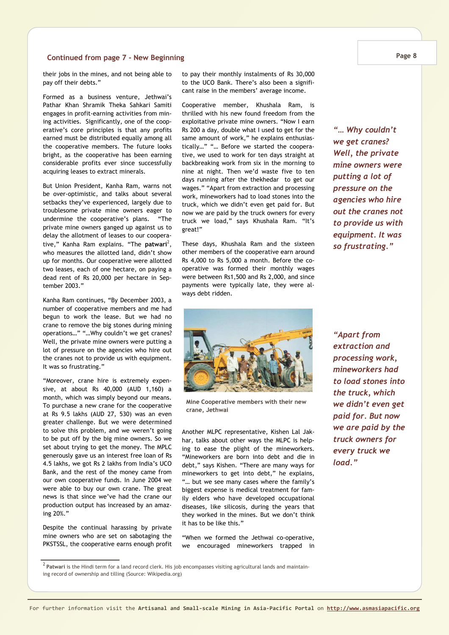### **Continued from page 7 - New Beginning**

their jobs in the mines, and not being able to pay off their debts."

Formed as a business venture, Jethwai's Pathar Khan Shramik Theka Sahkari Samiti engages in profit-earning activities from mining activities. Significantly, one of the cooperative's core principles is that any profits earned must be distributed equally among all the cooperative members. The future looks bright, as the cooperative has been earning considerable profits ever since successfully acquiring leases to extract minerals.

But Union President, Kanha Ram, warns not be over-optimistic, and talks about several setbacks they've experienced, largely due to troublesome private mine owners eager to undermine the cooperative's plans. "The private mine owners ganged up against us to delay the allotment of leases to our cooperative," Kanha Ram explains. "The **patwari**<sup>2</sup>, who measures the allotted land, didn't show up for months. Our cooperative were allotted two leases, each of one hectare, on paying a dead rent of Rs 20,000 per hectare in September 2003."

Kanha Ram continues, "By December 2003, a number of cooperative members and me had begun to work the lease. But we had no crane to remove the big stones during mining operations…" "…Why couldn't we get cranes? Well, the private mine owners were putting a lot of pressure on the agencies who hire out the cranes not to provide us with equipment. It was so frustrating."

"Moreover, crane hire is extremely expensive, at about Rs 40,000 (AUD 1,160) a month, which was simply beyond our means. To purchase a new crane for the cooperative at Rs 9.5 lakhs (AUD 27, 530) was an even greater challenge. But we were determined to solve this problem, and we weren't going to be put off by the big mine owners. So we set about trying to get the money. The MPLC generously gave us an interest free loan of Rs 4.5 lakhs, we got Rs 2 lakhs from India's UCO Bank, and the rest of the money came from our own cooperative funds. In June 2004 we were able to buy our own crane. The great news is that since we've had the crane our production output has increased by an amazing 20%."

Despite the continual harassing by private mine owners who are set on sabotaging the PKSTSSL, the cooperative earns enough profit

ing record of ownership and tilling (Source: Wikipedia.org)

to pay their monthly instalments of Rs 30,000 to the UCO Bank. There's also been a significant raise in the members' average income.

Cooperative member, Khushala Ram, is thrilled with his new found freedom from the exploitative private mine owners. "Now I earn Rs 200 a day, double what I used to get for the same amount of work," he explains enthusiastically…" "… Before we started the cooperative, we used to work for ten days straight at backbreaking work from six in the morning to nine at night. Then we'd waste five to ten days running after the thekhedar to get our wages." "Apart from extraction and processing work, mineworkers had to load stones into the truck, which we didn't even get paid for. But now we are paid by the truck owners for every truck we load," says Khushala Ram. "It's great!"

These days, Khushala Ram and the sixteen other members of the cooperative earn around Rs 4,000 to Rs 5,000 a month. Before the cooperative was formed their monthly wages were between Rs1,500 and Rs 2,000, and since payments were typically late, they were always debt ridden.

*"… Why couldn't we get cranes? Well, the private mine owners were putting a lot of pressure on the agencies who hire out the cranes not to provide us with equipment. It was so frustrating."* 

**Mine Cooperative members with their new crane, Jethwai** 

Another MLPC representative, Kishen Lal Jakhar, talks about other ways the MLPC is helping to ease the plight of the mineworkers. "Mineworkers are born into debt and die in debt," says Kishen. "There are many ways for mineworkers to get into debt," he explains, "… but we see many cases where the family's biggest expense is medical treatment for family elders who have developed occupational diseases, like silicosis, during the years that they worked in the mines. But we don't think it has to be like this."

"When we formed the Jethwai co-operative, we encouraged mineworkers trapped in

*"Apart from extraction and processing work, mineworkers had to load stones into the truck, which we didn't even get paid for. But now we are paid by the truck owners for every truck we load."* 

<sup>2</sup> **Patwari** is the Hindi term for a land record clerk. His job encompasses visiting agricultural lands and maintain-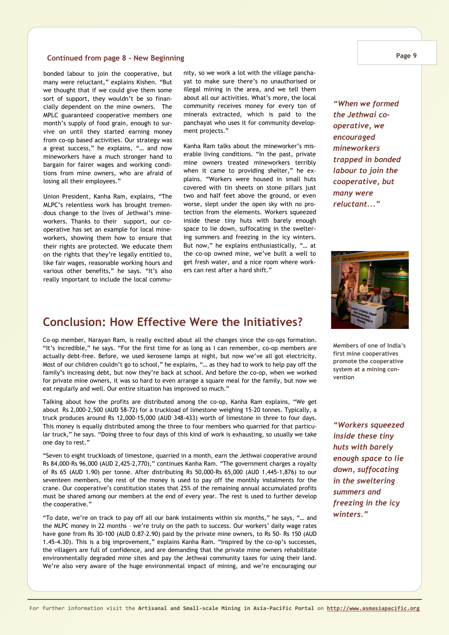### **Continued from page 8 - New Beginning**

bonded labour to join the cooperative, but many were reluctant," explains Kishen. "But we thought that if we could give them some sort of support, they wouldn't be so financially dependent on the mine owners. The MPLC guaranteed cooperative members one month's supply of food grain, enough to survive on until they started earning money from co-op based activities. Our strategy was a great success," he explains, "… and now mineworkers have a much stronger hand to bargain for fairer wages and working conditions from mine owners, who are afraid of losing all their employees."

Union President, Kanha Ram, explains, "The MLPC's relentless work has brought tremendous change to the lives of Jethwai's mineworkers. Thanks to their support, our cooperative has set an example for local mineworkers, showing them how to ensure that their rights are protected. We educate them on the rights that they're legally entitled to, like fair wages, reasonable working hours and various other benefits," he says. "It's also really important to include the local community, so we work a lot with the village panchayat to make sure there's no unauthorised or illegal mining in the area, and we tell them about all our activities. What's more, the local community receives money for every ton of minerals extracted, which is paid to the panchayat who uses it for community development projects."

Kanha Ram talks about the mineworker's miserable living conditions. "In the past, private mine owners treated mineworkers terribly when it came to providing shelter," he explains. "Workers were housed in small huts covered with tin sheets on stone pillars just two and half feet above the ground, or even worse, slept under the open sky with no protection from the elements. Workers squeezed inside these tiny huts with barely enough space to lie down, suffocating in the sweltering summers and freezing in the icy winters. But now," he explains enthusiastically, "… at the co-op owned mine, we've built a well to get fresh water, and a nice room where workers can rest after a hard shift."

# **Conclusion: How Effective Were the Initiatives?**

Co-op member, Narayan Ram, is really excited about all the changes since the co-ops formation. "It's incredible," he says. "For the first time for as long as I can remember, co-op members are actually debt-free. Before, we used kerosene lamps at night, but now we've all got electricity. Most of our children couldn't go to school," he explains, "… as they had to work to help pay off the family's increasing debt, but now they're back at school. And before the co-op, when we worked for private mine owners, it was so hard to even arrange a square meal for the family, but now we eat regularly and well. Our entire situation has improved so much."

Talking about how the profits are distributed among the co-op, Kanha Ram explains, "We get about Rs 2,000-2,500 (AUD 58-72) for a truckload of limestone weighing 15-20 tonnes. Typically, a truck produces around Rs 12,000-15,000 (AUD 348-433) worth of limestone in three to four days. This money is equally distributed among the three to four members who quarried for that particular truck," he says. "Doing three to four days of this kind of work is exhausting, so usually we take one day to rest."

"Seven to eight truckloads of limestone, quarried in a month, earn the Jethwai cooperative around Rs 84,000-Rs 96,000 (AUD 2,425-2,770)," continues Kanha Ram. "The government charges a royalty of Rs 65 (AUD 1.90) per tonne. After distributing Rs 50,000-Rs 65,000 (AUD 1,445-1,876) to our seventeen members, the rest of the money is used to pay off the monthly instalments for the crane. Our cooperative's constitution states that 25% of the remaining annual accumulated profits must be shared among our members at the end of every year. The rest is used to further develop the cooperative."

"To date, we're on track to pay off all our bank instalments within six months," he says, "… and the MLPC money in 22 months – we're truly on the path to success. Our workers' daily wage rates have gone from Rs 30-100 (AUD 0.87-2.90) paid by the private mine owners, to Rs 50- Rs 150 (AUD 1.45-4.30). This is a big improvement," explains Kanha Ram. "Inspired by the co-op's successes, the villagers are full of confidence, and are demanding that the private mine owners rehabilitate environmentally degraded mine sites and pay the Jethwai community taxes for using their land. We're also very aware of the huge environmental impact of mining, and we're encouraging our

#### **Page 9**

*"When we formed the Jethwai cooperative, we encouraged mineworkers trapped in bonded labour to join the cooperative, but many were reluctant..."* 



**Members of one of India's first mine cooperatives promote the cooperative system at a mining convention** 

*"Workers squeezed inside these tiny huts with barely enough space to lie down, suffocating in the sweltering summers and freezing in the icy winters."*